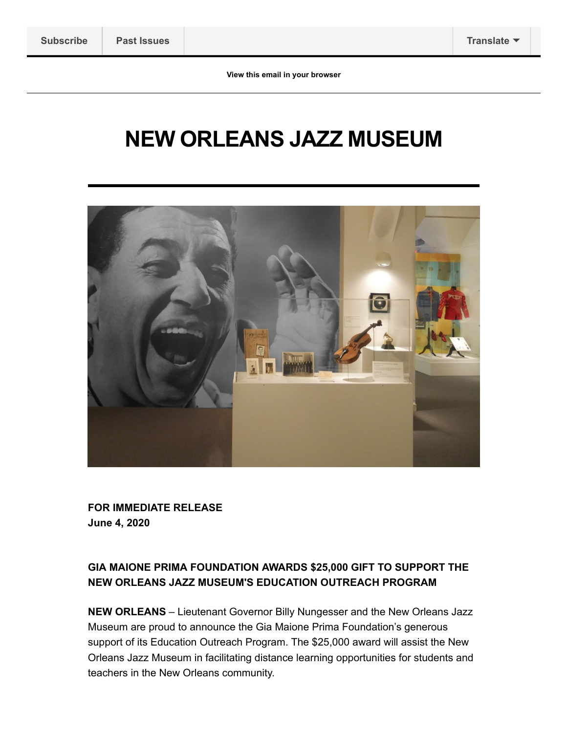# **NEW ORLEANS JAZZ MUSEUM**



**FOR IMMEDIATE RELEASE June 4, 2020**

#### **GIA MAIONE PRIMA FOUNDATION AWARDS \$25,000 GIFT TO SUPPORT THE NEW ORLEANS JAZZ MUSEUM'S EDUCATION OUTREACH PROGRAM**

**NEW ORLEANS** – Lieutenant Governor Billy Nungesser and the New Orleans Jazz Museum are proud to announce the Gia Maione Prima Foundation's generous support of its Education Outreach Program. The \$25,000 award will assist the New Orleans Jazz Museum in facilitating distance learning opportunities for students and teachers in the New Orleans community.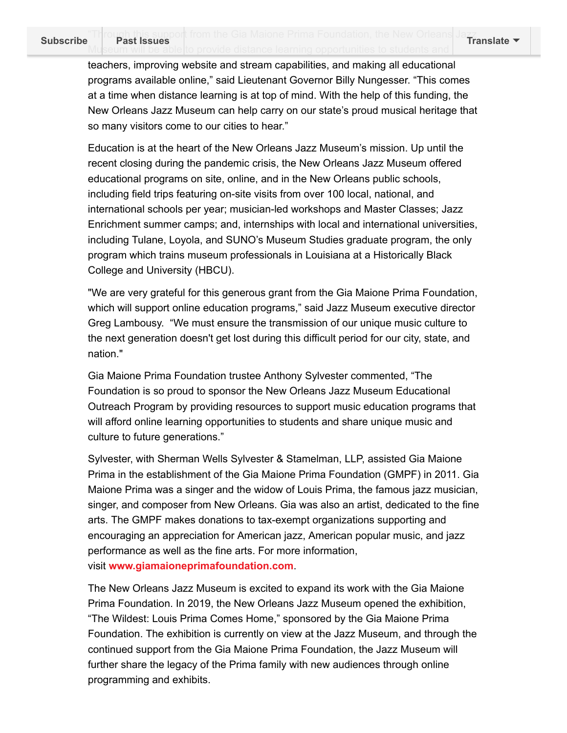teachers, improving website and stream capabilities, and making all educational programs available online," said Lieutenant Governor Billy Nungesser. "This comes at a time when distance learning is at top of mind. With the help of this funding, the New Orleans Jazz Museum can help carry on our state's proud musical heritage that so many visitors come to our cities to hear."

Education is at the heart of the New Orleans Jazz Museum's mission. Up until the recent closing during the pandemic crisis, the New Orleans Jazz Museum offered educational programs on site, online, and in the New Orleans public schools, including field trips featuring on-site visits from over 100 local, national, and international schools per year; musician-led workshops and Master Classes; Jazz Enrichment summer camps; and, internships with local and international universities, including Tulane, Loyola, and SUNO's Museum Studies graduate program, the only program which trains museum professionals in Louisiana at a Historically Black College and University (HBCU).

"We are very grateful for this generous grant from the Gia Maione Prima Foundation, which will support online education programs," said Jazz Museum executive director Greg Lambousy. "We must ensure the transmission of our unique music culture to the next generation doesn't get lost during this difficult period for our city, state, and nation."

Gia Maione Prima Foundation trustee Anthony Sylvester commented, "The Foundation is so proud to sponsor the New Orleans Jazz Museum Educational Outreach Program by providing resources to support music education programs that will afford online learning opportunities to students and share unique music and culture to future generations."

Sylvester, with Sherman Wells Sylvester & Stamelman, LLP, assisted Gia Maione Prima in the establishment of the Gia Maione Prima Foundation (GMPF) in 2011. Gia Maione Prima was a singer and the widow of Louis Prima, the famous jazz musician, singer, and composer from New Orleans. Gia was also an artist, dedicated to the fine arts. The GMPF makes donations to tax-exempt organizations supporting and encouraging an appreciation for American jazz, American popular music, and jazz performance as well as the fine arts. For more information, visit **[www.giamaioneprimafoundation.com](http://link.mediaoutreach.meltwater.com/ls/click?upn=XYVVd1HZQ2ik0sJl8Eyo4Lz0LmnDljlh8u-2FoWROhY23gjLXZqJMdk4m6e1rCyd4DkJSJNqYsd-2Fqm1-2Bi7rL0bDg-3D-3D8xkO_18RU-2Fxi03MMi1j2ouOMeU0rSrJQNdwmpgfgKvUFS0dKMVMljf5gOMQCUjKmH7oWn-2B6AZCXN-2F-2BE2QyoVnz5OjRqW31r7JYo-2FFOAMeUqaoNCrVLql-2BQ1fX1UjOcQ9enMAGU4XX-2Bkil-2F7qS-2BSkKkHubEI-2FJ3Vzx-2BVs8EOjQl6ujSdRBAWrmMbOaK2SRv-2FDa-2B9oQesv9X5HyOOy4mrfjQTxaFYvUHNJPJu7ErOLjX3TyZqqmIiyxc0lOdR8P8fZIce7Urq3arMv-2BEdIzTSml4KfYLP2-2Fb-2F1UrDPfIfBfU8up4all8dDTb95DApIayzPpLEC-2Fj4IZaGUfWhEzeXI4fZg0jj2Q2WCaWuZDHLVqaK04f2vrLA2jAlOUhytiCyvXFCao)**.

The New Orleans Jazz Museum is excited to expand its work with the Gia Maione Prima Foundation. In 2019, the New Orleans Jazz Museum opened the exhibition, "The Wildest: Louis Prima Comes Home," sponsored by the Gia Maione Prima Foundation. The exhibition is currently on view at the Jazz Museum, and through the continued support from the Gia Maione Prima Foundation, the Jazz Museum will further share the legacy of the Prima family with new audiences through online programming and exhibits.